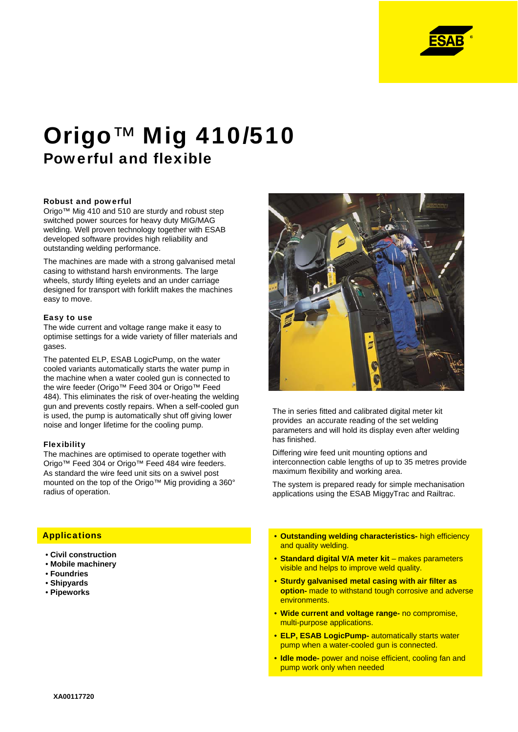

# Origo™ Mig 410/510 Powerful and flexible

## Robust and powerful

Origo™ Mig 410 and 510 are sturdy and robust step switched power sources for heavy duty MIG/MAG welding. Well proven technology together with ESAB developed software provides high reliability and outstanding welding performance.

The machines are made with a strong galvanised metal casing to withstand harsh environments. The large wheels, sturdy lifting eyelets and an under carriage designed for transport with forklift makes the machines easy to move.

## Easy to use

The wide current and voltage range make it easy to optimise settings for a wide variety of filler materials and gases.

The patented ELP, ESAB LogicPump, on the water cooled variants automatically starts the water pump in the machine when a water cooled gun is connected to the wire feeder (Origo™ Feed 304 or Origo™ Feed 484). This eliminates the risk of over-heating the welding gun and prevents costly repairs. When a self-cooled gun is used, the pump is automatically shut off giving lower noise and longer lifetime for the cooling pump.

## Flexibility

The machines are optimised to operate together with Origo™ Feed 304 or Origo™ Feed 484 wire feeders. As standard the wire feed unit sits on a swivel post mounted on the top of the Origo™ Mig providing a 360° radius of operation.



The in series fitted and calibrated digital meter kit provides an accurate reading of the set welding parameters and will hold its display even after welding has finished.

Differing wire feed unit mounting options and interconnection cable lengths of up to 35 metres provide maximum flexibility and working area.

The system is prepared ready for simple mechanisation applications using the ESAB MiggyTrac and Railtrac.

# **Applications**

- **Civil construction**
- **Mobile machinery**
- **Foundries**
- **Shipyards**
- **Pipeworks**
- **Outstanding welding characteristics-** high efficiency and quality welding.
- **Standard digital V/A meter kit**  makes parameters visible and helps to improve weld quality.
- **Sturdy galvanised metal casing with air filter as option-** made to withstand tough corrosive and adverse environments.
- **Wide current and voltage range-** no compromise, multi-purpose applications.
- **ELP, ESAB LogicPump-** automatically starts water pump when a water-cooled gun is connected.
- **Idle mode-** power and noise efficient, cooling fan and pump work only when needed